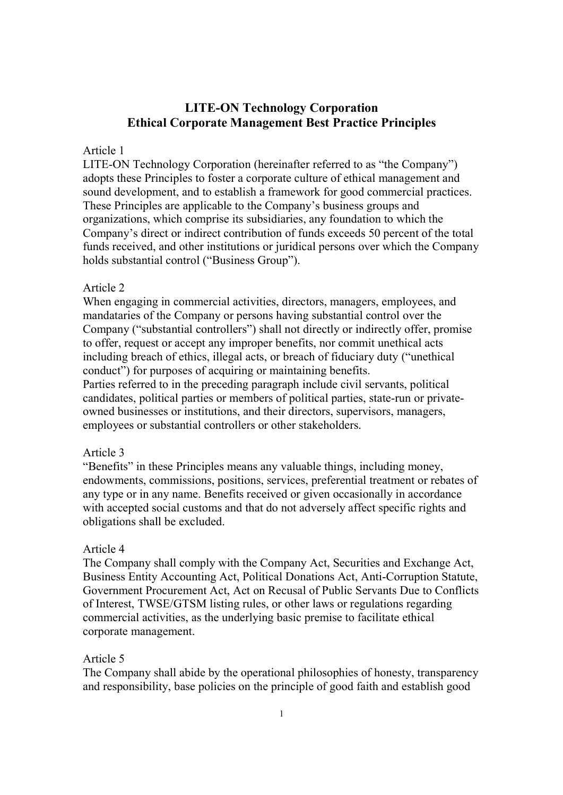# LITE-ON Technology Corporation Ethical Corporate Management Best Practice Principles

### Article 1

LITE-ON Technology Corporation (hereinafter referred to as "the Company") adopts these Principles to foster a corporate culture of ethical management and sound development, and to establish a framework for good commercial practices. These Principles are applicable to the Company's business groups and organizations, which comprise its subsidiaries, any foundation to which the Company's direct or indirect contribution of funds exceeds 50 percent of the total funds received, and other institutions or juridical persons over which the Company holds substantial control ("Business Group").

### Article 2

When engaging in commercial activities, directors, managers, employees, and mandataries of the Company or persons having substantial control over the Company ("substantial controllers") shall not directly or indirectly offer, promise to offer, request or accept any improper benefits, nor commit unethical acts including breach of ethics, illegal acts, or breach of fiduciary duty ("unethical conduct") for purposes of acquiring or maintaining benefits.

Parties referred to in the preceding paragraph include civil servants, political candidates, political parties or members of political parties, state-run or privateowned businesses or institutions, and their directors, supervisors, managers, employees or substantial controllers or other stakeholders.

### Article 3

"Benefits" in these Principles means any valuable things, including money, endowments, commissions, positions, services, preferential treatment or rebates of any type or in any name. Benefits received or given occasionally in accordance with accepted social customs and that do not adversely affect specific rights and obligations shall be excluded.

### Article 4

The Company shall comply with the Company Act, Securities and Exchange Act, Business Entity Accounting Act, Political Donations Act, Anti-Corruption Statute, Government Procurement Act, Act on Recusal of Public Servants Due to Conflicts of Interest, TWSE/GTSM listing rules, or other laws or regulations regarding commercial activities, as the underlying basic premise to facilitate ethical corporate management.

### Article 5

The Company shall abide by the operational philosophies of honesty, transparency and responsibility, base policies on the principle of good faith and establish good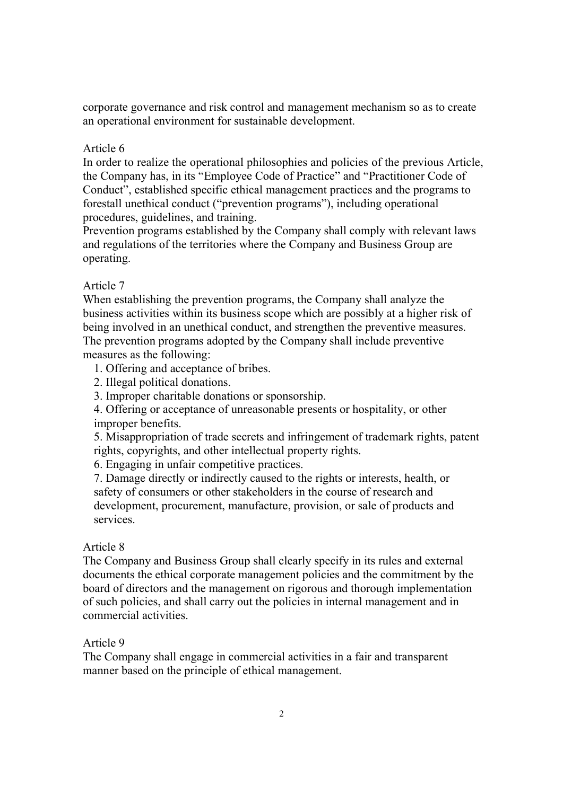corporate governance and risk control and management mechanism so as to create an operational environment for sustainable development.

# Article 6

In order to realize the operational philosophies and policies of the previous Article, the Company has, in its "Employee Code of Practice" and "Practitioner Code of Conduct", established specific ethical management practices and the programs to forestall unethical conduct ("prevention programs"), including operational procedures, guidelines, and training.

Prevention programs established by the Company shall comply with relevant laws and regulations of the territories where the Company and Business Group are operating.

# Article 7

When establishing the prevention programs, the Company shall analyze the business activities within its business scope which are possibly at a higher risk of being involved in an unethical conduct, and strengthen the preventive measures. The prevention programs adopted by the Company shall include preventive measures as the following:

- 1. Offering and acceptance of bribes.
- 2. Illegal political donations.
- 3. Improper charitable donations or sponsorship.

4. Offering or acceptance of unreasonable presents or hospitality, or other improper benefits.

5. Misappropriation of trade secrets and infringement of trademark rights, patent rights, copyrights, and other intellectual property rights.

6. Engaging in unfair competitive practices.

7. Damage directly or indirectly caused to the rights or interests, health, or safety of consumers or other stakeholders in the course of research and development, procurement, manufacture, provision, or sale of products and services.

# Article 8

The Company and Business Group shall clearly specify in its rules and external documents the ethical corporate management policies and the commitment by the board of directors and the management on rigorous and thorough implementation of such policies, and shall carry out the policies in internal management and in commercial activities.

## Article 9

The Company shall engage in commercial activities in a fair and transparent manner based on the principle of ethical management.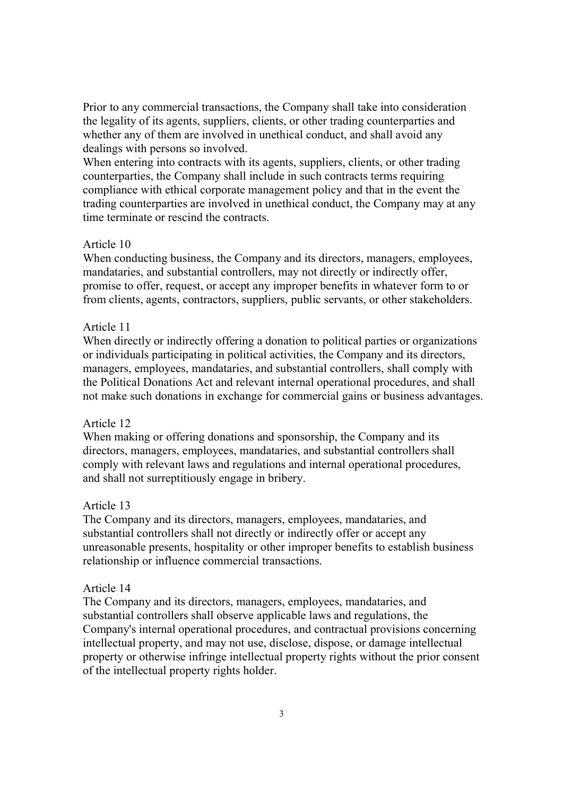Prior to any commercial transactions, the Company shall take into consideration the legality of its agents, suppliers, clients, or other trading counterparties and whether any of them are involved in unethical conduct, and shall avoid any dealings with persons so involved.

When entering into contracts with its agents, suppliers, clients, or other trading counterparties, the Company shall include in such contracts terms requiring compliance with ethical corporate management policy and that in the event the trading counterparties are involved in unethical conduct, the Company may at any time terminate or rescind the contracts.

### Article 10

When conducting business, the Company and its directors, managers, employees, mandataries, and substantial controllers, may not directly or indirectly offer, promise to offer, request, or accept any improper benefits in whatever form to or from clients, agents, contractors, suppliers, public servants, or other stakeholders.

# Article 11

When directly or indirectly offering a donation to political parties or organizations or individuals participating in political activities, the Company and its directors, managers, employees, mandataries, and substantial controllers, shall comply with the Political Donations Act and relevant internal operational procedures, and shall not make such donations in exchange for commercial gains or business advantages.

## Article 12

When making or offering donations and sponsorship, the Company and its directors, managers, employees, mandataries, and substantial controllers shall comply with relevant laws and regulations and internal operational procedures, and shall not surreptitiously engage in bribery.

#### Article 13

The Company and its directors, managers, employees, mandataries, and substantial controllers shall not directly or indirectly offer or accept any unreasonable presents, hospitality or other improper benefits to establish business relationship or influence commercial transactions.

### Article 14

The Company and its directors, managers, employees, mandataries, and substantial controllers shall observe applicable laws and regulations, the Company's internal operational procedures, and contractual provisions concerning intellectual property, and may not use, disclose, dispose, or damage intellectual property or otherwise infringe intellectual property rights without the prior consent of the intellectual property rights holder.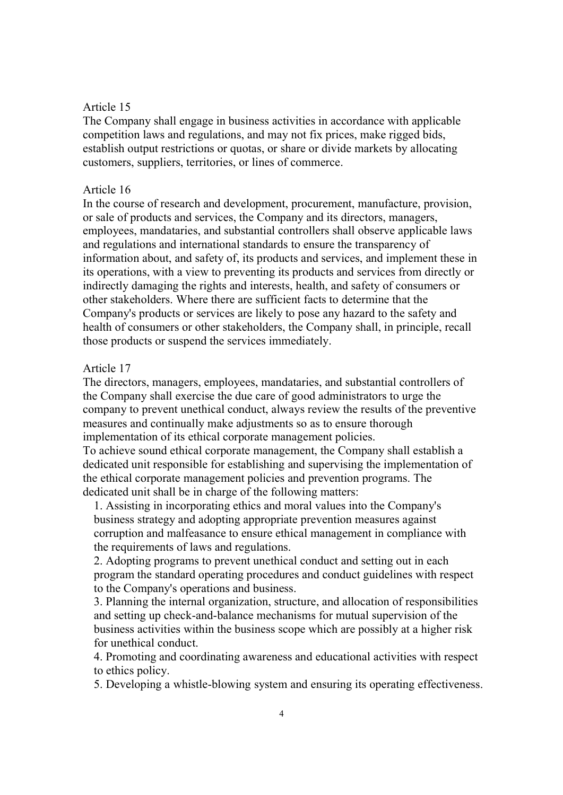#### Article 15

The Company shall engage in business activities in accordance with applicable competition laws and regulations, and may not fix prices, make rigged bids, establish output restrictions or quotas, or share or divide markets by allocating customers, suppliers, territories, or lines of commerce.

#### Article 16

In the course of research and development, procurement, manufacture, provision, or sale of products and services, the Company and its directors, managers, employees, mandataries, and substantial controllers shall observe applicable laws and regulations and international standards to ensure the transparency of information about, and safety of, its products and services, and implement these in its operations, with a view to preventing its products and services from directly or indirectly damaging the rights and interests, health, and safety of consumers or other stakeholders. Where there are sufficient facts to determine that the Company's products or services are likely to pose any hazard to the safety and health of consumers or other stakeholders, the Company shall, in principle, recall those products or suspend the services immediately.

# Article 17

The directors, managers, employees, mandataries, and substantial controllers of the Company shall exercise the due care of good administrators to urge the company to prevent unethical conduct, always review the results of the preventive measures and continually make adjustments so as to ensure thorough implementation of its ethical corporate management policies.

To achieve sound ethical corporate management, the Company shall establish a dedicated unit responsible for establishing and supervising the implementation of the ethical corporate management policies and prevention programs. The dedicated unit shall be in charge of the following matters:

1. Assisting in incorporating ethics and moral values into the Company's business strategy and adopting appropriate prevention measures against corruption and malfeasance to ensure ethical management in compliance with the requirements of laws and regulations.

2. Adopting programs to prevent unethical conduct and setting out in each program the standard operating procedures and conduct guidelines with respect to the Company's operations and business.

3. Planning the internal organization, structure, and allocation of responsibilities and setting up check-and-balance mechanisms for mutual supervision of the business activities within the business scope which are possibly at a higher risk for unethical conduct.

4. Promoting and coordinating awareness and educational activities with respect to ethics policy.

5. Developing a whistle-blowing system and ensuring its operating effectiveness.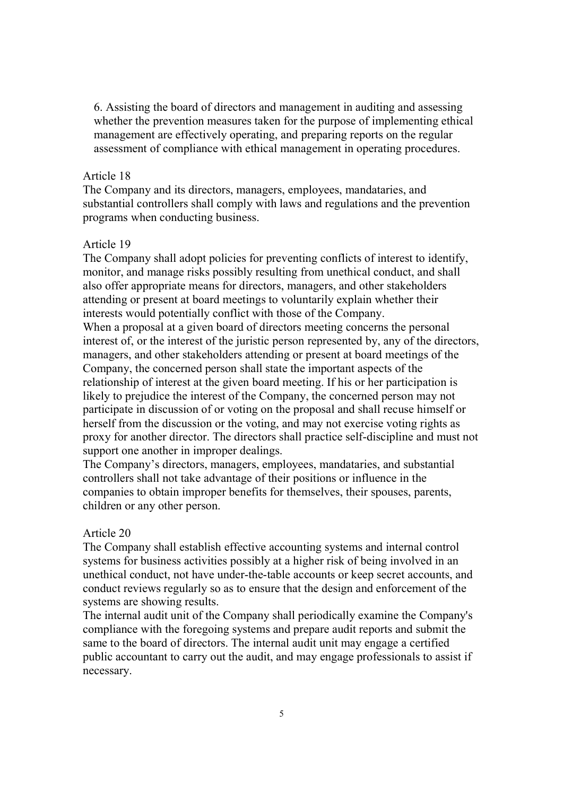6. Assisting the board of directors and management in auditing and assessing whether the prevention measures taken for the purpose of implementing ethical management are effectively operating, and preparing reports on the regular assessment of compliance with ethical management in operating procedures.

### Article 18

The Company and its directors, managers, employees, mandataries, and substantial controllers shall comply with laws and regulations and the prevention programs when conducting business.

#### Article 19

The Company shall adopt policies for preventing conflicts of interest to identify, monitor, and manage risks possibly resulting from unethical conduct, and shall also offer appropriate means for directors, managers, and other stakeholders attending or present at board meetings to voluntarily explain whether their interests would potentially conflict with those of the Company. When a proposal at a given board of directors meeting concerns the personal interest of, or the interest of the juristic person represented by, any of the directors, managers, and other stakeholders attending or present at board meetings of the Company, the concerned person shall state the important aspects of the relationship of interest at the given board meeting. If his or her participation is likely to prejudice the interest of the Company, the concerned person may not participate in discussion of or voting on the proposal and shall recuse himself or herself from the discussion or the voting, and may not exercise voting rights as proxy for another director. The directors shall practice self-discipline and must not support one another in improper dealings.

The Company's directors, managers, employees, mandataries, and substantial controllers shall not take advantage of their positions or influence in the companies to obtain improper benefits for themselves, their spouses, parents, children or any other person.

#### Article 20

The Company shall establish effective accounting systems and internal control systems for business activities possibly at a higher risk of being involved in an unethical conduct, not have under-the-table accounts or keep secret accounts, and conduct reviews regularly so as to ensure that the design and enforcement of the systems are showing results.

The internal audit unit of the Company shall periodically examine the Company's compliance with the foregoing systems and prepare audit reports and submit the same to the board of directors. The internal audit unit may engage a certified public accountant to carry out the audit, and may engage professionals to assist if necessary.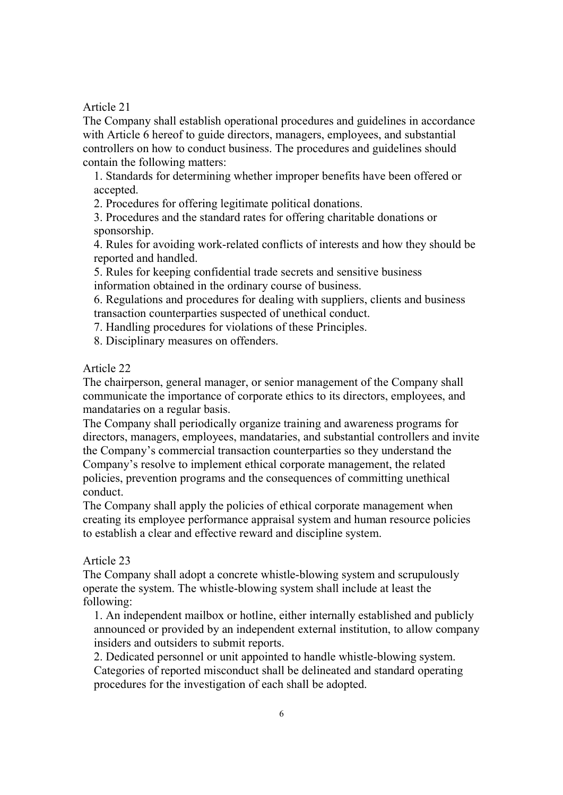Article 21

The Company shall establish operational procedures and guidelines in accordance with Article 6 hereof to guide directors, managers, employees, and substantial controllers on how to conduct business. The procedures and guidelines should contain the following matters:

1. Standards for determining whether improper benefits have been offered or accepted.

2. Procedures for offering legitimate political donations.

3. Procedures and the standard rates for offering charitable donations or sponsorship.

4. Rules for avoiding work-related conflicts of interests and how they should be reported and handled.

5. Rules for keeping confidential trade secrets and sensitive business information obtained in the ordinary course of business.

6. Regulations and procedures for dealing with suppliers, clients and business transaction counterparties suspected of unethical conduct.

7. Handling procedures for violations of these Principles.

8. Disciplinary measures on offenders.

Article 22

The chairperson, general manager, or senior management of the Company shall communicate the importance of corporate ethics to its directors, employees, and mandataries on a regular basis.

The Company shall periodically organize training and awareness programs for directors, managers, employees, mandataries, and substantial controllers and invite the Company's commercial transaction counterparties so they understand the Company's resolve to implement ethical corporate management, the related policies, prevention programs and the consequences of committing unethical conduct.

The Company shall apply the policies of ethical corporate management when creating its employee performance appraisal system and human resource policies to establish a clear and effective reward and discipline system.

## Article 23

The Company shall adopt a concrete whistle-blowing system and scrupulously operate the system. The whistle-blowing system shall include at least the following:

1. An independent mailbox or hotline, either internally established and publicly announced or provided by an independent external institution, to allow company insiders and outsiders to submit reports.

2. Dedicated personnel or unit appointed to handle whistle-blowing system. Categories of reported misconduct shall be delineated and standard operating procedures for the investigation of each shall be adopted.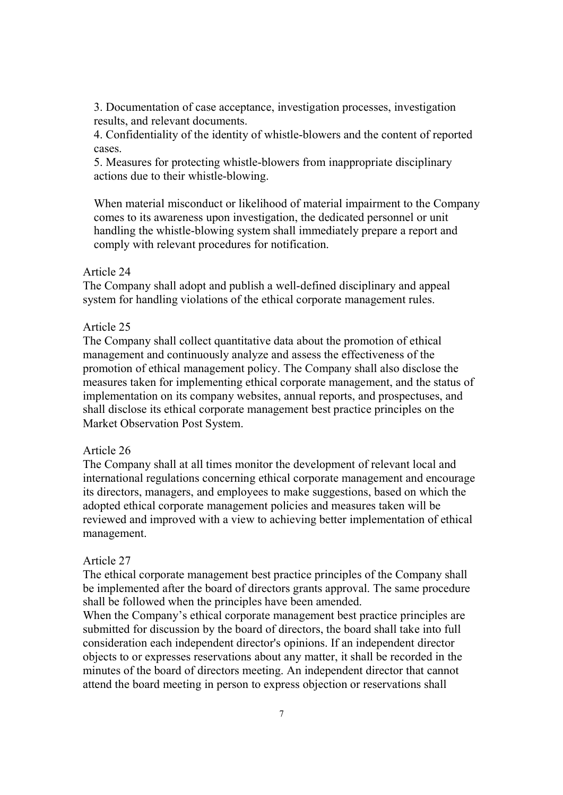3. Documentation of case acceptance, investigation processes, investigation results, and relevant documents.

4. Confidentiality of the identity of whistle-blowers and the content of reported cases.

5. Measures for protecting whistle-blowers from inappropriate disciplinary actions due to their whistle-blowing.

When material misconduct or likelihood of material impairment to the Company comes to its awareness upon investigation, the dedicated personnel or unit handling the whistle-blowing system shall immediately prepare a report and comply with relevant procedures for notification.

#### Article 24

The Company shall adopt and publish a well-defined disciplinary and appeal system for handling violations of the ethical corporate management rules.

# Article 25

The Company shall collect quantitative data about the promotion of ethical management and continuously analyze and assess the effectiveness of the promotion of ethical management policy. The Company shall also disclose the measures taken for implementing ethical corporate management, and the status of implementation on its company websites, annual reports, and prospectuses, and shall disclose its ethical corporate management best practice principles on the Market Observation Post System.

## Article 26

The Company shall at all times monitor the development of relevant local and international regulations concerning ethical corporate management and encourage its directors, managers, and employees to make suggestions, based on which the adopted ethical corporate management policies and measures taken will be reviewed and improved with a view to achieving better implementation of ethical management.

#### Article 27

The ethical corporate management best practice principles of the Company shall be implemented after the board of directors grants approval. The same procedure shall be followed when the principles have been amended.

When the Company's ethical corporate management best practice principles are submitted for discussion by the board of directors, the board shall take into full consideration each independent director's opinions. If an independent director objects to or expresses reservations about any matter, it shall be recorded in the minutes of the board of directors meeting. An independent director that cannot attend the board meeting in person to express objection or reservations shall